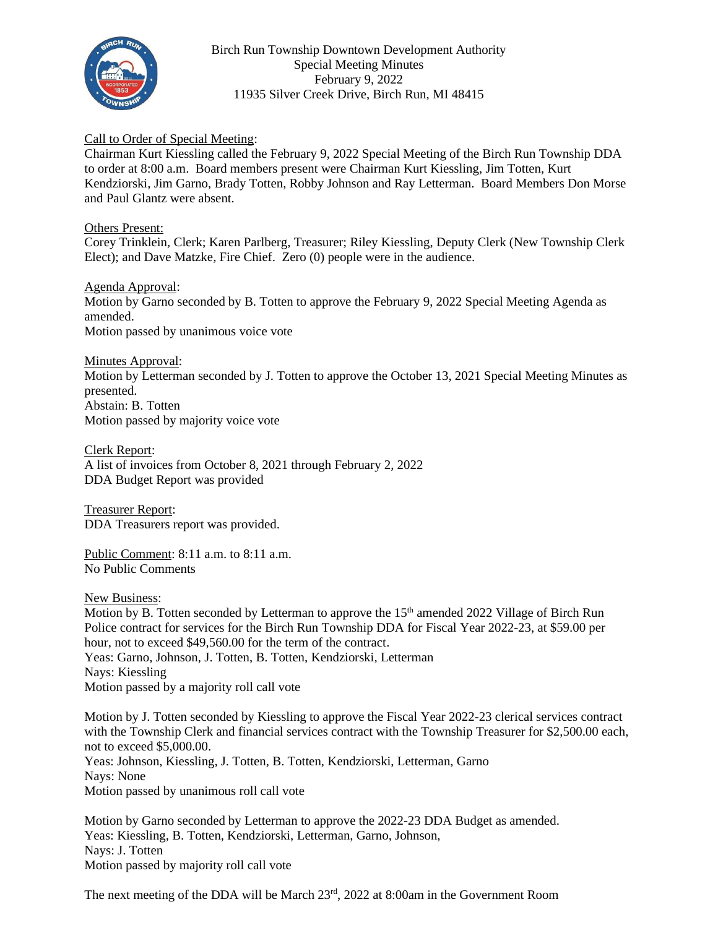

Birch Run Township Downtown Development Authority Special Meeting Minutes February 9, 2022 11935 Silver Creek Drive, Birch Run, MI 48415

## Call to Order of Special Meeting:

Chairman Kurt Kiessling called the February 9, 2022 Special Meeting of the Birch Run Township DDA to order at 8:00 a.m. Board members present were Chairman Kurt Kiessling, Jim Totten, Kurt Kendziorski, Jim Garno, Brady Totten, Robby Johnson and Ray Letterman. Board Members Don Morse and Paul Glantz were absent.

## Others Present:

Corey Trinklein, Clerk; Karen Parlberg, Treasurer; Riley Kiessling, Deputy Clerk (New Township Clerk Elect); and Dave Matzke, Fire Chief. Zero (0) people were in the audience.

Agenda Approval: Motion by Garno seconded by B. Totten to approve the February 9, 2022 Special Meeting Agenda as amended. Motion passed by unanimous voice vote

Minutes Approval: Motion by Letterman seconded by J. Totten to approve the October 13, 2021 Special Meeting Minutes as presented. Abstain: B. Totten Motion passed by majority voice vote

Clerk Report: A list of invoices from October 8, 2021 through February 2, 2022 DDA Budget Report was provided

Treasurer Report: DDA Treasurers report was provided.

Public Comment: 8:11 a.m. to 8:11 a.m. No Public Comments

New Business:

Motion by B. Totten seconded by Letterman to approve the 15<sup>th</sup> amended 2022 Village of Birch Run Police contract for services for the Birch Run Township DDA for Fiscal Year 2022-23, at \$59.00 per hour, not to exceed \$49,560.00 for the term of the contract. Yeas: Garno, Johnson, J. Totten, B. Totten, Kendziorski, Letterman Nays: Kiessling Motion passed by a majority roll call vote

Motion by J. Totten seconded by Kiessling to approve the Fiscal Year 2022-23 clerical services contract with the Township Clerk and financial services contract with the Township Treasurer for \$2,500.00 each, not to exceed \$5,000.00. Yeas: Johnson, Kiessling, J. Totten, B. Totten, Kendziorski, Letterman, Garno Nays: None Motion passed by unanimous roll call vote

Motion by Garno seconded by Letterman to approve the 2022-23 DDA Budget as amended. Yeas: Kiessling, B. Totten, Kendziorski, Letterman, Garno, Johnson, Nays: J. Totten Motion passed by majority roll call vote

The next meeting of the DDA will be March 23rd, 2022 at 8:00am in the Government Room